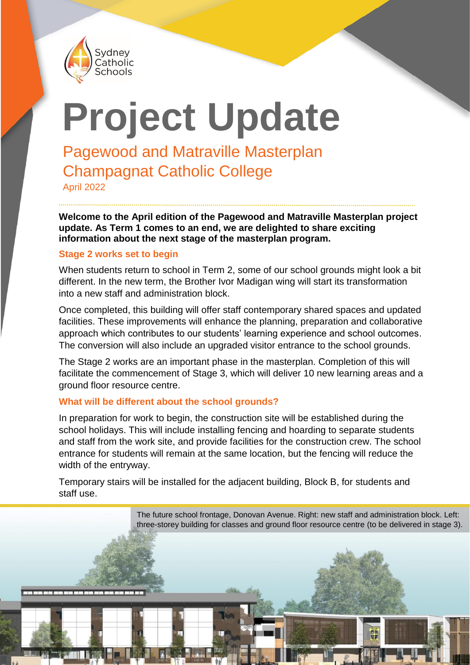

# **Project Update**

Pagewood and Matraville Masterplan Champagnat Catholic College

April 2022

**Welcome to the April edition of the Pagewood and Matraville Masterplan project update. As Term 1 comes to an end, we are delighted to share exciting information about the next stage of the masterplan program.**

#### **Stage 2 works set to begin**

When students return to school in Term 2, some of our school grounds might look a bit different. In the new term, the Brother Ivor Madigan wing will start its transformation into a new staff and administration block.

Once completed, this building will offer staff contemporary shared spaces and updated facilities. These improvements will enhance the planning, preparation and collaborative approach which contributes to our students' learning experience and school outcomes. The conversion will also include an upgraded visitor entrance to the school grounds.

The Stage 2 works are an important phase in the masterplan. Completion of this will facilitate the commencement of Stage 3, which will deliver 10 new learning areas and a ground floor resource centre.

#### **What will be different about the school grounds?**

In preparation for work to begin, the construction site will be established during the school holidays. This will include installing fencing and hoarding to separate students and staff from the work site, and provide facilities for the construction crew. The school entrance for students will remain at the same location, but the fencing will reduce the width of the entryway.

Temporary stairs will be installed for the adjacent building, Block B, for students and staff use.

> The future school frontage, Donovan Avenue. Right: new staff and administration block. Left: three-storey building for classes and ground floor resource centre (to be delivered in stage 3).

**THE REAL PROPERTY OF PERSON**